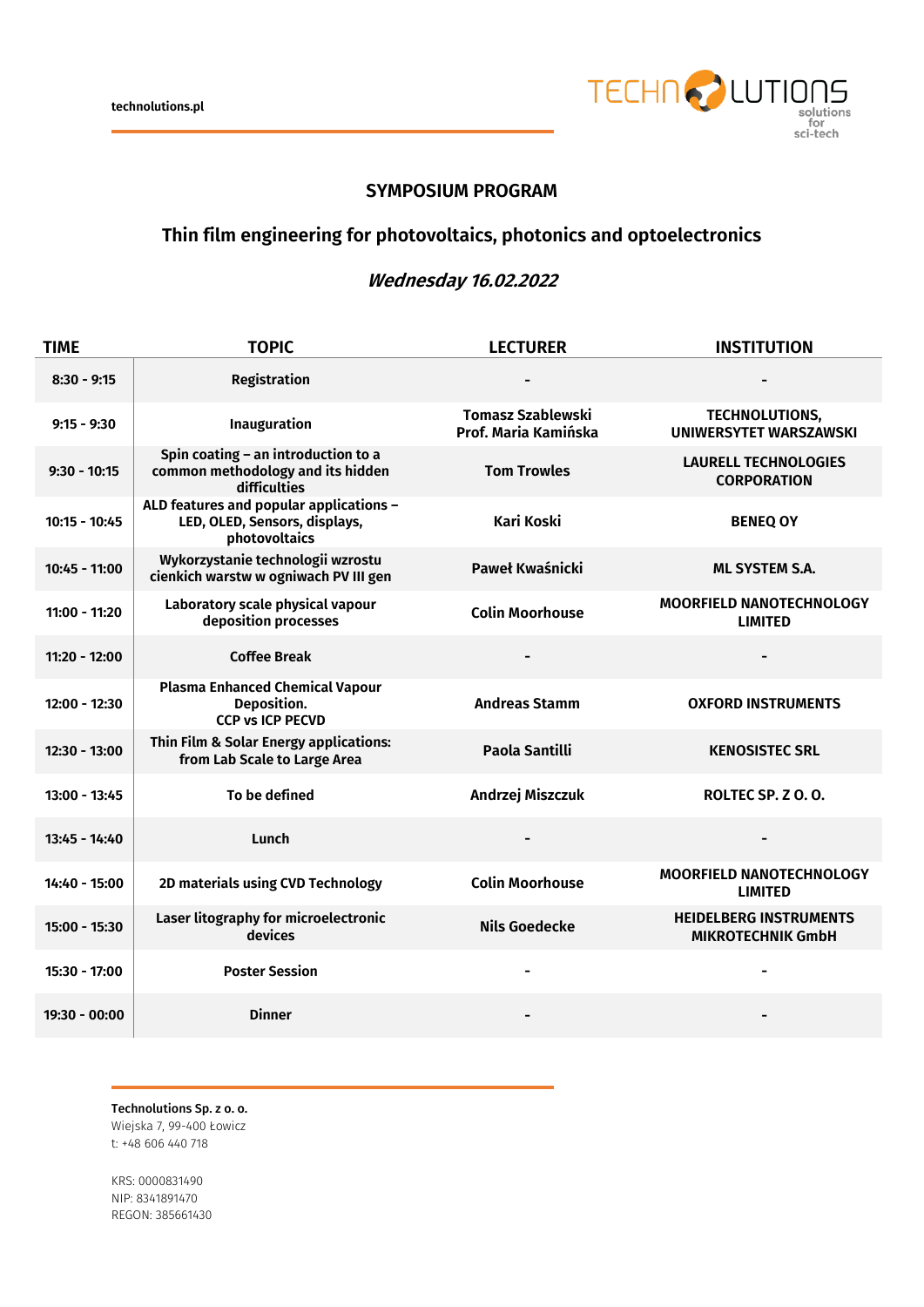

## **SYMPOSIUM PROGRAM**

## **Thin film engineering for photovoltaics, photonics and optoelectronics**

## **Wednesday 16.02.2022**

| <b>TIME</b>     | <b>TOPIC</b>                                                                              | <b>LECTURER</b>                                  | <b>INSTITUTION</b>                                        |
|-----------------|-------------------------------------------------------------------------------------------|--------------------------------------------------|-----------------------------------------------------------|
| $8:30 - 9:15$   | Registration                                                                              |                                                  |                                                           |
| $9:15 - 9:30$   | Inauguration                                                                              | <b>Tomasz Szablewski</b><br>Prof. Maria Kamińska | <b>TECHNOLUTIONS,</b><br><b>UNIWERSYTET WARSZAWSKI</b>    |
| $9:30 - 10:15$  | Spin coating - an introduction to a<br>common methodology and its hidden<br>difficulties  | <b>Tom Trowles</b>                               | <b>LAURELL TECHNOLOGIES</b><br><b>CORPORATION</b>         |
| $10:15 - 10:45$ | ALD features and popular applications -<br>LED, OLED, Sensors, displays,<br>photovoltaics | Kari Koski                                       | <b>BENEQ OY</b>                                           |
| $10:45 - 11:00$ | Wykorzystanie technologii wzrostu<br>cienkich warstw w ogniwach PV III gen                | Paweł Kwaśnicki                                  | <b>ML SYSTEM S.A.</b>                                     |
| $11:00 - 11:20$ | Laboratory scale physical vapour<br>deposition processes                                  | <b>Colin Moorhouse</b>                           | <b>MOORFIELD NANOTECHNOLOGY</b><br><b>LIMITED</b>         |
| $11:20 - 12:00$ | <b>Coffee Break</b>                                                                       |                                                  |                                                           |
| $12:00 - 12:30$ | <b>Plasma Enhanced Chemical Vapour</b><br>Deposition.<br><b>CCP vs ICP PECVD</b>          | <b>Andreas Stamm</b>                             | <b>OXFORD INSTRUMENTS</b>                                 |
| $12:30 - 13:00$ | Thin Film & Solar Energy applications:<br>from Lab Scale to Large Area                    | Paola Santilli                                   | <b>KENOSISTEC SRL</b>                                     |
| $13:00 - 13:45$ | To be defined                                                                             | Andrzej Miszczuk                                 | ROLTEC SP. Z O.O.                                         |
| $13:45 - 14:40$ | Lunch                                                                                     |                                                  |                                                           |
| 14:40 - 15:00   | 2D materials using CVD Technology                                                         | <b>Colin Moorhouse</b>                           | MOORFIELD NANOTECHNOLOGY<br><b>LIMITED</b>                |
| $15:00 - 15:30$ | Laser litography for microelectronic<br>devices                                           | <b>Nils Goedecke</b>                             | <b>HEIDELBERG INSTRUMENTS</b><br><b>MIKROTECHNIK GmbH</b> |
| 15:30 - 17:00   | <b>Poster Session</b>                                                                     | $\blacksquare$                                   | $\blacksquare$                                            |
| 19:30 - 00:00   | <b>Dinner</b>                                                                             |                                                  |                                                           |

Technolutions Sp. z o. o. Wiejska 7, 99-400 Łowicz t: +48 606 440 718

KRS: 0000831490 NIP: 8341891470 REGON: 385661430